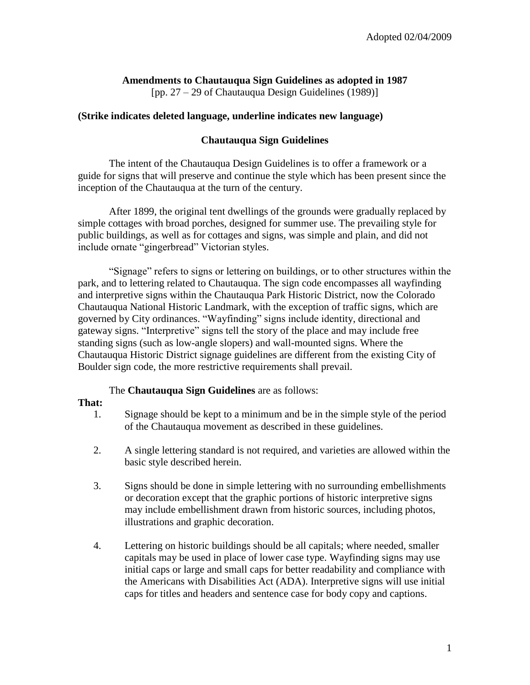# **Amendments to Chautauqua Sign Guidelines as adopted in 1987**

[pp. 27 – 29 of Chautauqua Design Guidelines (1989)]

## **(Strike indicates deleted language, underline indicates new language)**

## **Chautauqua Sign Guidelines**

The intent of the Chautauqua Design Guidelines is to offer a framework or a guide for signs that will preserve and continue the style which has been present since the inception of the Chautauqua at the turn of the century.

After 1899, the original tent dwellings of the grounds were gradually replaced by simple cottages with broad porches, designed for summer use. The prevailing style for public buildings, as well as for cottages and signs, was simple and plain, and did not include ornate "gingerbread" Victorian styles.

"Signage" refers to signs or lettering on buildings, or to other structures within the park, and to lettering related to Chautauqua. The sign code encompasses all wayfinding and interpretive signs within the Chautauqua Park Historic District, now the Colorado Chautauqua National Historic Landmark, with the exception of traffic signs, which are governed by City ordinances. "Wayfinding" signs include identity, directional and gateway signs. "Interpretive" signs tell the story of the place and may include free standing signs (such as low-angle slopers) and wall-mounted signs. Where the Chautauqua Historic District signage guidelines are different from the existing City of Boulder sign code, the more restrictive requirements shall prevail.

### The **Chautauqua Sign Guidelines** are as follows:

### **That:**

- 1. Signage should be kept to a minimum and be in the simple style of the period of the Chautauqua movement as described in these guidelines.
- 2. A single lettering standard is not required, and varieties are allowed within the basic style described herein.
- 3. Signs should be done in simple lettering with no surrounding embellishments or decoration except that the graphic portions of historic interpretive signs may include embellishment drawn from historic sources, including photos, illustrations and graphic decoration.
- 4. Lettering on historic buildings should be all capitals; where needed, smaller capitals may be used in place of lower case type. Wayfinding signs may use initial caps or large and small caps for better readability and compliance with the Americans with Disabilities Act (ADA). Interpretive signs will use initial caps for titles and headers and sentence case for body copy and captions.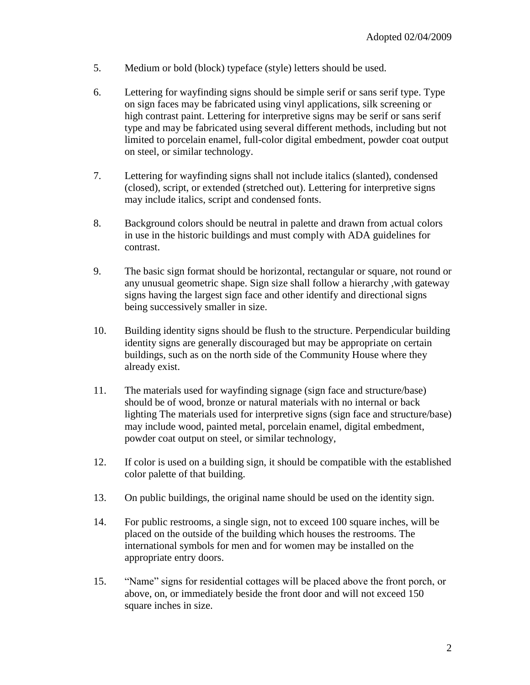- 5. Medium or bold (block) typeface (style) letters should be used.
- 6. Lettering for wayfinding signs should be simple serif or sans serif type. Type on sign faces may be fabricated using vinyl applications, silk screening or high contrast paint. Lettering for interpretive signs may be serif or sans serif type and may be fabricated using several different methods, including but not limited to porcelain enamel, full-color digital embedment, powder coat output on steel, or similar technology.
- 7. Lettering for wayfinding signs shall not include italics (slanted), condensed (closed), script, or extended (stretched out). Lettering for interpretive signs may include italics, script and condensed fonts.
- 8. Background colors should be neutral in palette and drawn from actual colors in use in the historic buildings and must comply with ADA guidelines for contrast.
- 9. The basic sign format should be horizontal, rectangular or square, not round or any unusual geometric shape. Sign size shall follow a hierarchy ,with gateway signs having the largest sign face and other identify and directional signs being successively smaller in size.
- 10. Building identity signs should be flush to the structure. Perpendicular building identity signs are generally discouraged but may be appropriate on certain buildings, such as on the north side of the Community House where they already exist.
- 11. The materials used for wayfinding signage (sign face and structure/base) should be of wood, bronze or natural materials with no internal or back lighting The materials used for interpretive signs (sign face and structure/base) may include wood, painted metal, porcelain enamel, digital embedment, powder coat output on steel, or similar technology,
- 12. If color is used on a building sign, it should be compatible with the established color palette of that building.
- 13. On public buildings, the original name should be used on the identity sign.
- 14. For public restrooms, a single sign, not to exceed 100 square inches, will be placed on the outside of the building which houses the restrooms. The international symbols for men and for women may be installed on the appropriate entry doors.
- 15. "Name" signs for residential cottages will be placed above the front porch, or above, on, or immediately beside the front door and will not exceed 150 square inches in size.